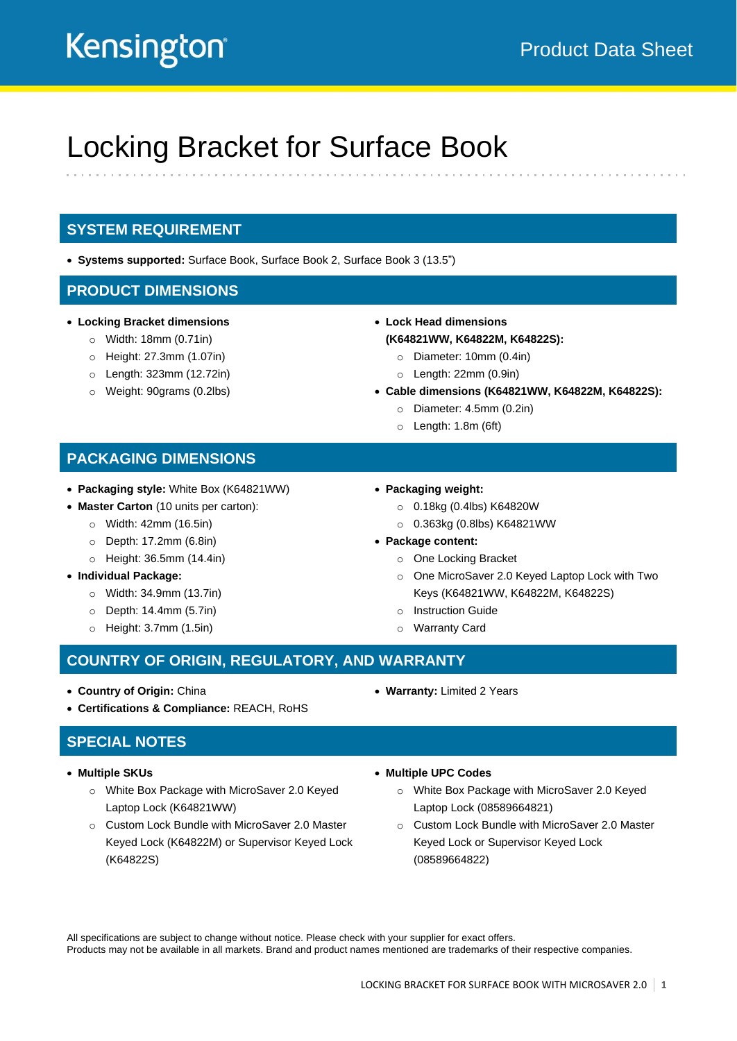# Kensington

## Locking Bracket for Surface Book

#### **SYSTEM REQUIREMENT**

• **Systems supported:** Surface Book, Surface Book 2, Surface Book 3 (13.5")

#### **PRODUCT DIMENSIONS**

- **Locking Bracket dimensions**
	- o Width: 18mm (0.71in)
	- o Height: 27.3mm (1.07in)
	- o Length: 323mm (12.72in)
	- o Weight: 90grams (0.2lbs)
- **Lock Head dimensions (K64821WW, K64822M, K64822S):**
	- o Diameter: 10mm (0.4in)
	- $\circ$  Length: 22mm (0.9in)
- **Cable dimensions (K64821WW, K64822M, K64822S):**
	- o Diameter: 4.5mm (0.2in)
	- o Length: 1.8m (6ft)

#### **PACKAGING DIMENSIONS**

- **Packaging style:** White Box (K64821WW)
- **Master Carton** (10 units per carton):
	- o Width: 42mm (16.5in)
	- o Depth: 17.2mm (6.8in)
	- o Height: 36.5mm (14.4in)
- **Individual Package:** 
	- o Width: 34.9mm (13.7in)
	- o Depth: 14.4mm (5.7in)
	- o Height: 3.7mm (1.5in)
- **Packaging weight:** 
	- o 0.18kg (0.4lbs) K64820W
	- o 0.363kg (0.8lbs) K64821WW
- **Package content:**
	- o One Locking Bracket
	- o One MicroSaver 2.0 Keyed Laptop Lock with Two Keys (K64821WW, K64822M, K64822S)
	- o Instruction Guide
	- o Warranty Card

#### **COUNTRY OF ORIGIN, REGULATORY, AND WARRANTY**

- **Country of Origin:** China
- **Certifications & Compliance:** REACH, RoHS

#### **SPECIAL NOTES**

- **Multiple SKUs**
	- o White Box Package with MicroSaver 2.0 Keyed Laptop Lock (K64821WW)
	- o Custom Lock Bundle with MicroSaver 2.0 Master Keyed Lock (K64822M) or Supervisor Keyed Lock (K64822S)
- 

• **Warranty:** Limited 2 Years

#### • **Multiple UPC Codes**

- o White Box Package with MicroSaver 2.0 Keyed Laptop Lock (08589664821)
- o Custom Lock Bundle with MicroSaver 2.0 Master Keyed Lock or Supervisor Keyed Lock (08589664822)

All specifications are subject to change without notice. Please check with your supplier for exact offers. Products may not be available in all markets. Brand and product names mentioned are trademarks of their respective companies.